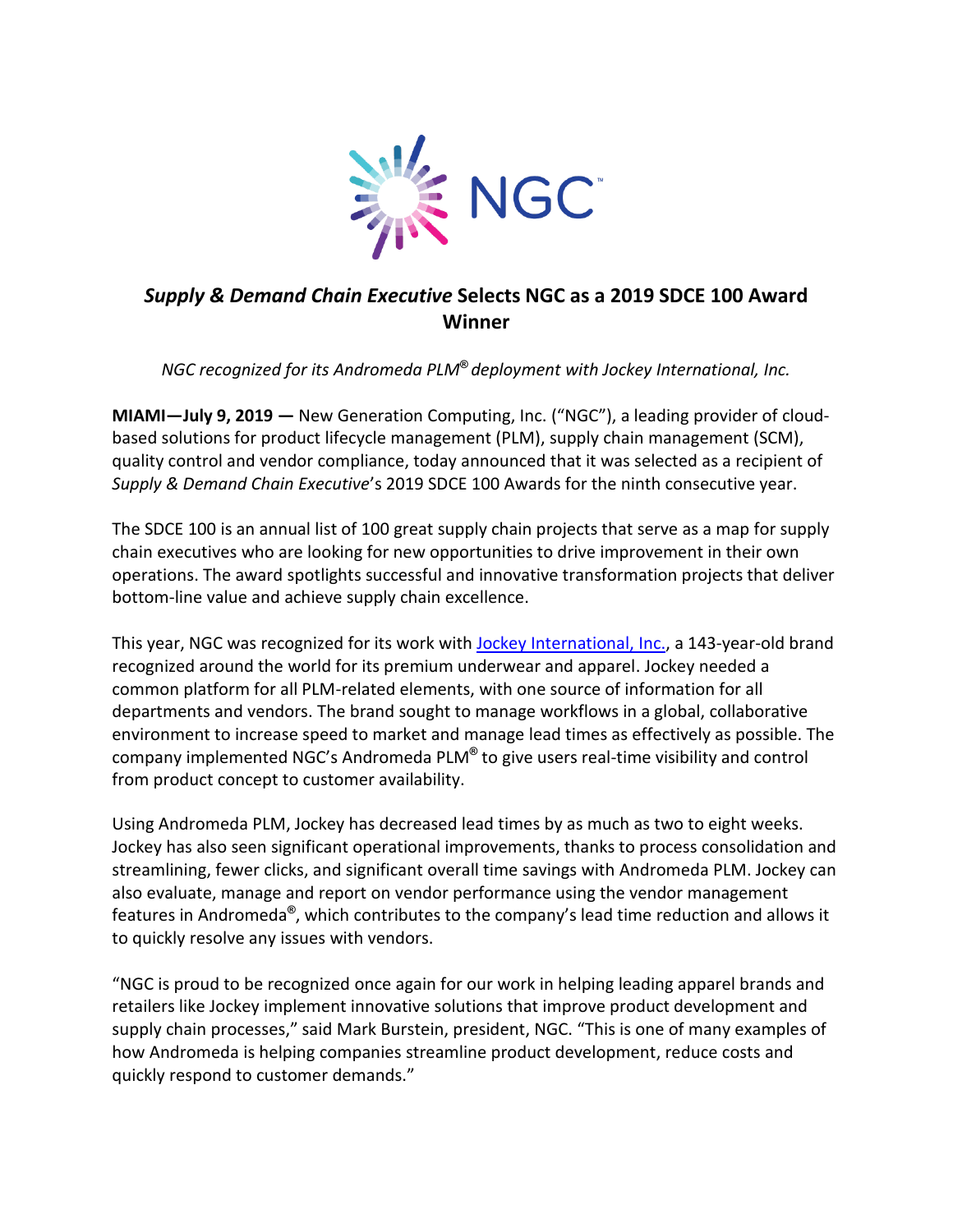

## *Supply & Demand Chain Executive* **Selects NGC as a 2019 SDCE 100 Award Winner**

*NGC recognized for its Andromeda PLM***®** *deployment with Jockey International, Inc.*

**MIAMI—July 9, 2019 —** New Generation Computing, Inc. ("NGC"), a leading provider of cloudbased solutions for product lifecycle management (PLM), supply chain management (SCM), quality control and vendor compliance, today announced that it was selected as a recipient of *Supply & Demand Chain Executive*'s 2019 SDCE 100 Awards for the ninth consecutive year.

The SDCE 100 is an annual list of 100 great supply chain projects that serve as a map for supply chain executives who are looking for new opportunities to drive improvement in their own operations. The award spotlights successful and innovative transformation projects that deliver bottom-line value and achieve supply chain excellence.

This year, NGC was recognized for its work with Jockey [International,](https://www.jockey.com/) Inc., a 143-year-old brand recognized around the world for its premium underwear and apparel. Jockey needed a common platform for all PLM-related elements, with one source of information for all departments and vendors. The brand sought to manage workflows in a global, collaborative environment to increase speed to market and manage lead times as effectively as possible. The company implemented NGC's Andromeda PLM**®** to give users real-time visibility and control from product concept to customer availability.

Using Andromeda PLM, Jockey has decreased lead times by as much as two to eight weeks. Jockey has also seen significant operational improvements, thanks to process consolidation and streamlining, fewer clicks, and significant overall time savings with Andromeda PLM. Jockey can also evaluate, manage and report on vendor performance using the vendor management features in Andromeda**®** , which contributes to the company's lead time reduction and allows it to quickly resolve any issues with vendors.

"NGC is proud to be recognized once again for our work in helping leading apparel brands and retailers like Jockey implement innovative solutions that improve product development and supply chain processes," said Mark Burstein, president, NGC. "This is one of many examples of how Andromeda is helping companies streamline product development, reduce costs and quickly respond to customer demands."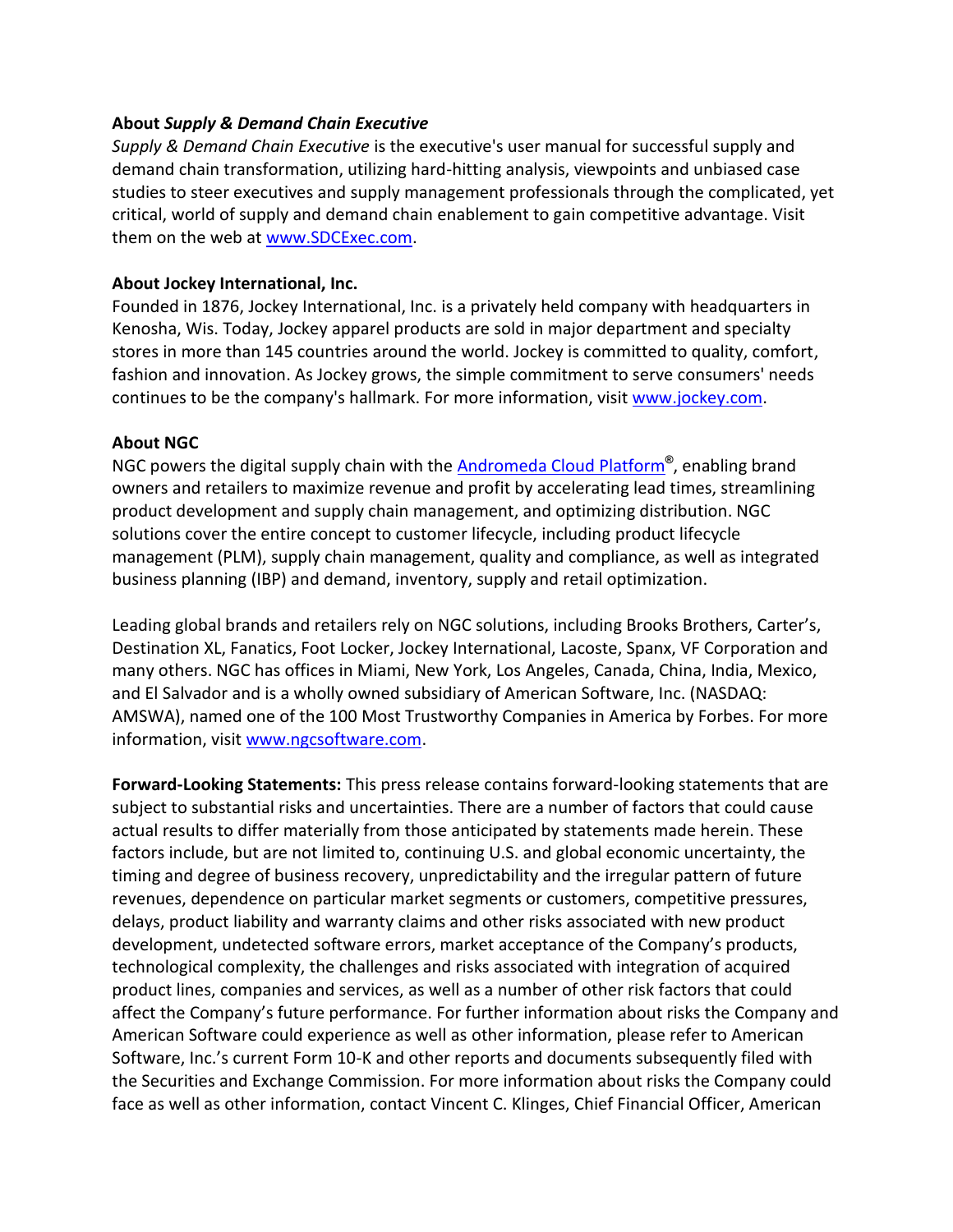## **About** *Supply & Demand Chain Executive*

*Supply & Demand Chain Executive* is the executive's user manual for successful supply and demand chain transformation, utilizing hard-hitting analysis, viewpoints and unbiased case studies to steer executives and supply management professionals through the complicated, yet critical, world of supply and demand chain enablement to gain competitive advantage. Visit them on the web at [www.SDCExec.com.](http://www.sdcexec.com/)

## **About Jockey International, Inc.**

Founded in 1876, Jockey International, Inc. is a privately held company with headquarters in Kenosha, Wis. Today, Jockey apparel products are sold in major department and specialty stores in more than 145 countries around the world. Jockey is committed to quality, comfort, fashion and innovation. As Jockey grows, the simple commitment to serve consumers' needs continues to be the company's hallmark. For more information, visit [www.jockey.com.](https://www.jockey.com/)

## **About NGC**

NGC powers the digital supply chain with the [Andromeda Cloud Platform](https://www.ngcsoftware.com/landing/ngcandromedacloudplatform/)**®** , enabling brand owners and retailers to maximize revenue and profit by accelerating lead times, streamlining product development and supply chain management, and optimizing distribution. NGC solutions cover the entire concept to customer lifecycle, including product lifecycle management (PLM), supply chain management, quality and compliance, as well as integrated business planning (IBP) and demand, inventory, supply and retail optimization.

Leading global brands and retailers rely on NGC solutions, including Brooks Brothers, Carter's, Destination XL, Fanatics, Foot Locker, Jockey International, Lacoste, Spanx, VF Corporation and many others. NGC has offices in Miami, New York, Los Angeles, Canada, China, India, Mexico, and El Salvador and is a wholly owned subsidiary of American Software, Inc. (NASDAQ: AMSWA), named one of the 100 Most Trustworthy Companies in America by Forbes. For more information, visit [www.ngcsoftware.com.](http://www.ngcsoftware.com/)

**Forward-Looking Statements:** This press release contains forward-looking statements that are subject to substantial risks and uncertainties. There are a number of factors that could cause actual results to differ materially from those anticipated by statements made herein. These factors include, but are not limited to, continuing U.S. and global economic uncertainty, the timing and degree of business recovery, unpredictability and the irregular pattern of future revenues, dependence on particular market segments or customers, competitive pressures, delays, product liability and warranty claims and other risks associated with new product development, undetected software errors, market acceptance of the Company's products, technological complexity, the challenges and risks associated with integration of acquired product lines, companies and services, as well as a number of other risk factors that could affect the Company's future performance. For further information about risks the Company and American Software could experience as well as other information, please refer to American Software, Inc.'s current Form 10-K and other reports and documents subsequently filed with the Securities and Exchange Commission. For more information about risks the Company could face as well as other information, contact Vincent C. Klinges, Chief Financial Officer, American